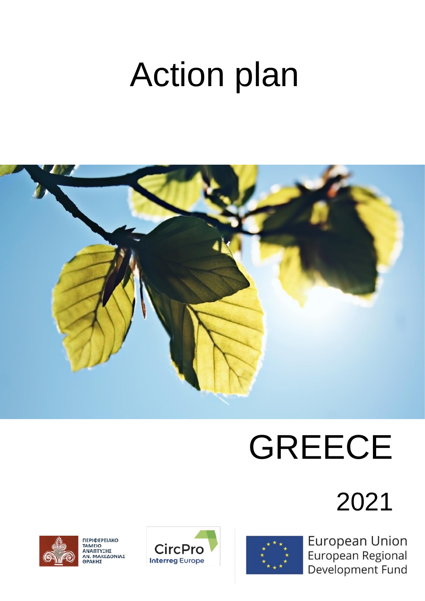# Action plan



# GREECE

# 2021



ΠΕΡΙΦΕΡΕΙΑΚΟ<br>ΤΑΜΕΙΟ<br>ΑΝΑΠΤΥΞΗΣ<br>ΑΝ. ΜΑΚΕΔΟΝΙΑΣ<br>ΘΡΑΚΗΣ





**European Union** European Regional Development Fund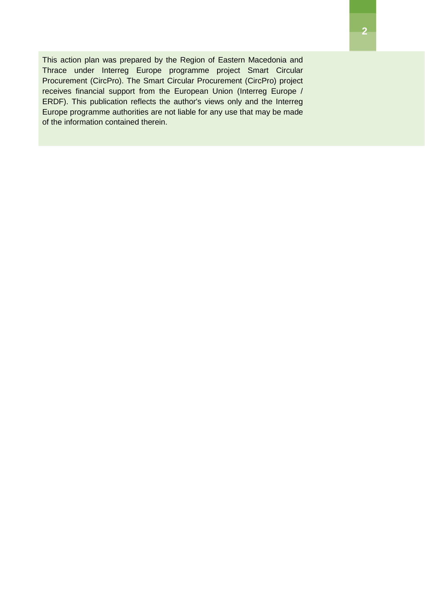This action plan was prepared by the Region of Eastern Macedonia and Thrace under Interreg Europe programme project Smart Circular Procurement (CircPro). The Smart Circular Procurement (CircPro) project receives financial support from the European Union (Interreg Europe / ERDF). This publication reflects the author's views only and the Interreg Europe programme authorities are not liable for any use that may be made of the information contained therein.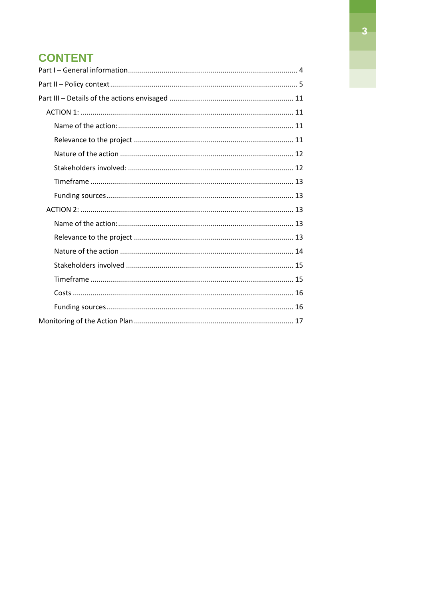# **CONTENT**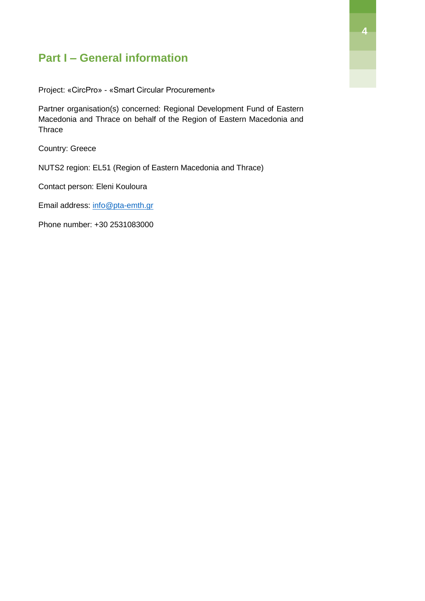# <span id="page-3-0"></span>**Part I – General information**

Project: «CircPro» - «Smart Circular Procurement»

Partner organisation(s) concerned: Regional Development Fund of Eastern Macedonia and Thrace on behalf of the Region of Eastern Macedonia and **Thrace** 

Country: Greece

NUTS2 region: EL51 (Region of Eastern Macedonia and Thrace)

Contact person: Eleni Kouloura

Email address: info@pta-emth.gr

Phone number: +30 2531083000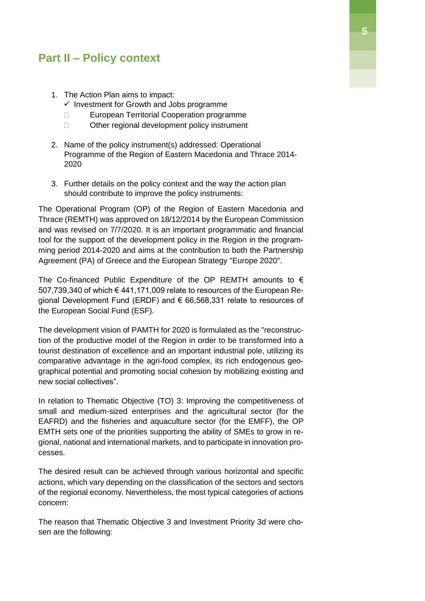### <span id="page-4-0"></span>**Part II – Policy context**

- 1. The Action Plan aims to impact:
	- $\checkmark$  Investment for Growth and Jobs programme
	- □ European Territorial Cooperation programme
	- □ Other regional development policy instrument
- 2. Name of the policy instrument(s) addressed: Operational Programme of the Region of Eastern Macedonia and Thrace 2014- 2020
- 3. Further details on the policy context and the way the action plan should contribute to improve the policy instruments:

The Operational Program (OP) of the Region of Eastern Macedonia and Thrace (REMTH) was approved on 18/12/2014 by the European Commission and was revised on 7/7/2020. It is an important programmatic and financial tool for the support of the development policy in the Region in the programming period 2014-2020 and aims at the contribution to both the Partnership Agreement (PA) of Greece and the European Strategy "Europe 2020".

The Co-financed Public Expenditure of the OP REMTH amounts to  $\epsilon$ 507,739,340 of which € 441,171,009 relate to resources of the European Regional Development Fund (ERDF) and € 66,568,331 relate to resources of the European Social Fund (ESF).

The development vision of PAMTH for 2020 is formulated as the "reconstruction of the productive model of the Region in order to be transformed into a tourist destination of excellence and an important industrial pole, utilizing its comparative advantage in the agri-food complex, its rich endogenous geographical potential and promoting social cohesion by mobilizing existing and new social collectives".

In relation to Thematic Objective (TO) 3: Improving the competitiveness of small and medium-sized enterprises and the agricultural sector (for the EAFRD) and the fisheries and aquaculture sector (for the EMFF), the OP EMTH sets one of the priorities supporting the ability of SMEs to grow in regional, national and international markets, and to participate in innovation processes.

The desired result can be achieved through various horizontal and specific actions, which vary depending on the classification of the sectors and sectors of the regional economy. Nevertheless, the most typical categories of actions concern:

The reason that Thematic Objective 3 and Investment Priority 3d were chosen are the following: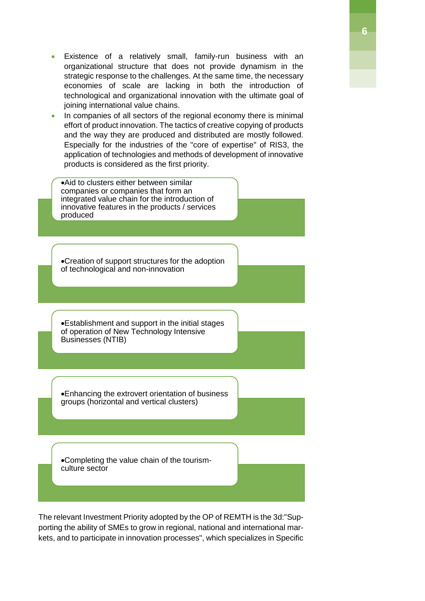- Existence of a relatively small, family-run business with an organizational structure that does not provide dynamism in the strategic response to the challenges. At the same time, the necessary economies of scale are lacking in both the introduction of technological and organizational innovation with the ultimate goal of joining international value chains.
- In companies of all sectors of the regional economy there is minimal effort of product innovation. The tactics of creative copying of products and the way they are produced and distributed are mostly followed. Especially for the industries of the "core of expertise" of RIS3, the application of technologies and methods of development of innovative products is considered as the first priority.

Aid to clusters either between similar companies or companies that form an integrated value chain for the introduction of innovative features in the products / services produced Creation of support structures for the adoption of technological and non-innovation Establishment and support in the initial stages of operation of New Technology Intensive Businesses (NTIB) Enhancing the extrovert orientation of business groups (horizontal and vertical clusters) Completing the value chain of the tourismculture sector

The relevant Investment Priority adopted by the OP of REMTH is the 3d:"Supporting the ability of SMEs to grow in regional, national and international markets, and to participate in innovation processes", which specializes in Specific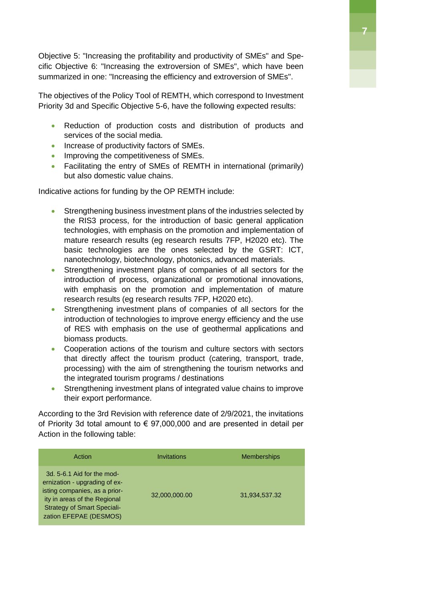Objective 5: "Increasing the profitability and productivity of SMEs" and Specific Objective 6: "Increasing the extroversion of SMEs", which have been summarized in one: "Increasing the efficiency and extroversion of SMEs".

The objectives of the Policy Tool of REMTH, which correspond to Investment Priority 3d and Specific Objective 5-6, have the following expected results:

- Reduction of production costs and distribution of products and services of the social media.
- Increase of productivity factors of SMEs.
- **Improving the competitiveness of SMEs.**
- Facilitating the entry of SMEs of REMTH in international (primarily) but also domestic value chains.

Indicative actions for funding by the OP REMTH include:

- Strengthening business investment plans of the industries selected by the RIS3 process, for the introduction of basic general application technologies, with emphasis on the promotion and implementation of mature research results (eg research results 7FP, H2020 etc). The basic technologies are the ones selected by the GSRT: ICT, nanotechnology, biotechnology, photonics, advanced materials.
- Strengthening investment plans of companies of all sectors for the introduction of process, organizational or promotional innovations, with emphasis on the promotion and implementation of mature research results (eg research results 7FP, H2020 etc).
- Strengthening investment plans of companies of all sectors for the introduction of technologies to improve energy efficiency and the use of RES with emphasis on the use of geothermal applications and biomass products.
- Cooperation actions of the tourism and culture sectors with sectors that directly affect the tourism product (catering, transport, trade, processing) with the aim of strengthening the tourism networks and the integrated tourism programs / destinations
- Strengthening investment plans of integrated value chains to improve their export performance.

According to the 3rd Revision with reference date of 2/9/2021, the invitations of Priority 3d total amount to  $\epsilon$  97,000,000 and are presented in detail per Action in the following table:

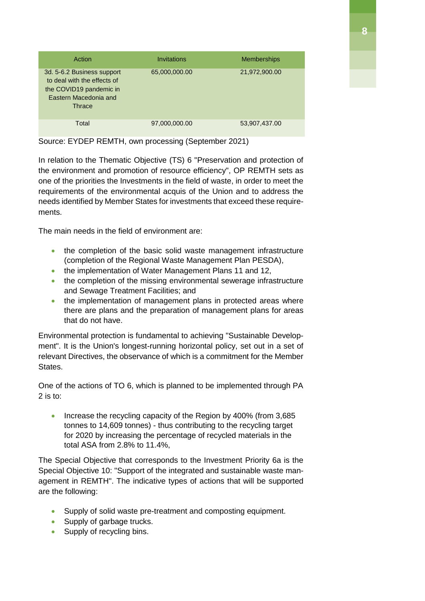| Action                                                                                                                  | Invitations   | <b>Memberships</b> |
|-------------------------------------------------------------------------------------------------------------------------|---------------|--------------------|
| 3d. 5-6.2 Business support<br>to deal with the effects of<br>the COVID19 pandemic in<br>Eastern Macedonia and<br>Thrace | 65,000,000.00 | 21,972,900.00      |
| Total                                                                                                                   | 97,000,000.00 | 53,907,437.00      |

Source: EYDEP REMTH, own processing (September 2021)

In relation to the Thematic Objective (TS) 6 "Preservation and protection of the environment and promotion of resource efficiency", OP REMTH sets as one of the priorities the Investments in the field of waste, in order to meet the requirements of the environmental acquis of the Union and to address the needs identified by Member States for investments that exceed these requirements.

The main needs in the field of environment are:

- the completion of the basic solid waste management infrastructure (completion of the Regional Waste Management Plan PESDA),
- the implementation of Water Management Plans 11 and 12,
- the completion of the missing environmental sewerage infrastructure and Sewage Treatment Facilities; and
- the implementation of management plans in protected areas where there are plans and the preparation of management plans for areas that do not have.

Environmental protection is fundamental to achieving "Sustainable Development". It is the Union's longest-running horizontal policy, set out in a set of relevant Directives, the observance of which is a commitment for the Member States.

One of the actions of TO 6, which is planned to be implemented through PA 2 is to:

• Increase the recycling capacity of the Region by 400% (from 3,685 tonnes to 14,609 tonnes) - thus contributing to the recycling target for 2020 by increasing the percentage of recycled materials in the total ASA from 2.8% to 11.4%,

The Special Objective that corresponds to the Investment Priority 6a is the Special Objective 10: "Support of the integrated and sustainable waste management in REMTH". The indicative types of actions that will be supported are the following:

- Supply of solid waste pre-treatment and composting equipment.
- Supply of garbage trucks.
- Supply of recycling bins.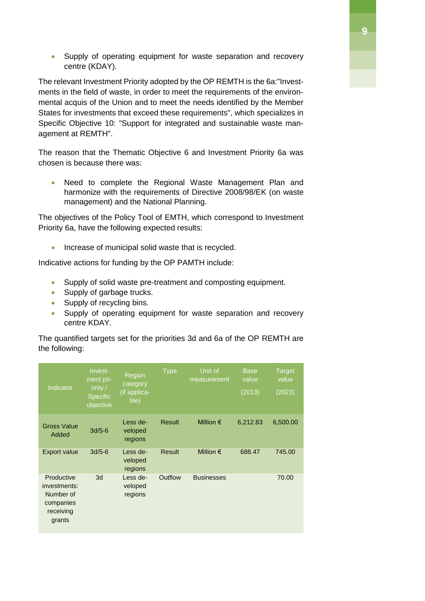• Supply of operating equipment for waste separation and recovery centre (KDAY).

The relevant Investment Priority adopted by the OP REMTH is the 6a:"Investments in the field of waste, in order to meet the requirements of the environmental acquis of the Union and to meet the needs identified by the Member States for investments that exceed these requirements", which specializes in Specific Objective 10: "Support for integrated and sustainable waste management at REMTH".

The reason that the Thematic Objective 6 and Investment Priority 6a was chosen is because there was:

• Need to complete the Regional Waste Management Plan and harmonize with the requirements of Directive 2008/98/EK (on waste management) and the National Planning.

The objectives of the Policy Tool of EMTH, which correspond to Investment Priority 6a, have the following expected results:

• Increase of municipal solid waste that is recycled.

Indicative actions for funding by the OP PAMTH include:

- Supply of solid waste pre-treatment and composting equipment.
- Supply of garbage trucks.
- Supply of recycling bins.
- Supply of operating equipment for waste separation and recovery centre KDAY.

The quantified targets set for the priorities 3d and 6a of the OP REMTH are the following:

| Indicator                                                                   | Invest-<br>ment pri-<br>ority $/$<br><b>Specific</b><br>objective | Region<br>category<br>(if applica-<br>ble) | <b>Type</b>   | Unit of<br>measurement | <b>Base</b><br>value<br>(2013) | <b>Target</b><br>value<br>(2023) |
|-----------------------------------------------------------------------------|-------------------------------------------------------------------|--------------------------------------------|---------------|------------------------|--------------------------------|----------------------------------|
| <b>Gross Value</b><br>Added                                                 | $3d/5-6$                                                          | Less de-<br>veloped<br>regions             | <b>Result</b> | Million $\epsilon$     | 6,212.83                       | 6,500.00                         |
| <b>Export value</b>                                                         | $3d/5-6$                                                          | Less de-<br>veloped<br>regions             | <b>Result</b> | Million $\epsilon$     | 688.47                         | 745.00                           |
| Productive<br>investments:<br>Number of<br>companies<br>receiving<br>grants | 3d                                                                | Less de-<br>veloped<br>regions             | Outflow       | <b>Businesses</b>      |                                | 70.00                            |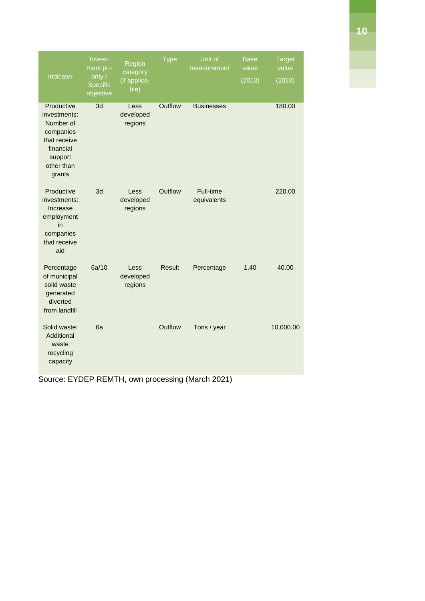| Indicator                                                                                                            | Invest-<br>ment pri-<br>ority /<br><b>Specific</b><br>objective | Region<br>category<br>(if applica-<br>ble) | <b>Type</b>   | Unit of<br>measurement   | <b>Base</b><br>value<br>(2013) | <b>Target</b><br>value<br>(2023) |
|----------------------------------------------------------------------------------------------------------------------|-----------------------------------------------------------------|--------------------------------------------|---------------|--------------------------|--------------------------------|----------------------------------|
| Productive<br>investments:<br>Number of<br>companies<br>that receive<br>financial<br>support<br>other than<br>grants | 3d                                                              | Less<br>developed<br>regions               | Outflow       | <b>Businesses</b>        |                                | 180.00                           |
| Productive<br>investments:<br>Increase<br>employment<br>in<br>companies<br>that receive<br>aid                       | 3d                                                              | Less<br>developed<br>regions               | Outflow       | Full-time<br>equivalents |                                | 220.00                           |
| Percentage<br>of municipal<br>solid waste<br>generated<br>diverted<br>from landfill                                  | 6a/10                                                           | Less<br>developed<br>regions               | <b>Result</b> | Percentage               | 1.40                           | 40.00                            |
| Solid waste:<br>Additional<br>waste<br>recycling<br>capacity                                                         | 6a                                                              |                                            | Outflow       | Tons / year              |                                | 10,000.00                        |

Source: EYDEP REMTH, own processing (March 2021)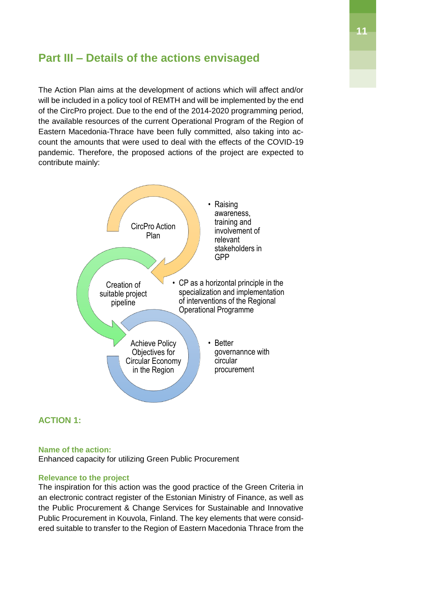## <span id="page-10-0"></span>**Part III – Details of the actions envisaged**

The Action Plan aims at the development of actions which will affect and/or will be included in a policy tool of REMTH and will be implemented by the end of the CircPro project. Due to the end of the 2014-2020 programming period, the available resources of the current Operational Program of the Region of Eastern Macedonia-Thrace have been fully committed, also taking into account the amounts that were used to deal with the effects of the COVID-19 pandemic. Therefore, the proposed actions of the project are expected to contribute mainly:



#### <span id="page-10-1"></span>**ACTION 1:**

#### <span id="page-10-2"></span>**Name of the action:**

Enhanced capacity for utilizing Green Public Procurement

#### <span id="page-10-3"></span>**Relevance to the project**

The inspiration for this action was the good practice of the Green Criteria in an electronic contract register of the Estonian Ministry of Finance, as well as the Public Procurement & Change Services for Sustainable and Innovative Public Procurement in Kouvola, Finland. The key elements that were considered suitable to transfer to the Region of Eastern Macedonia Thrace from the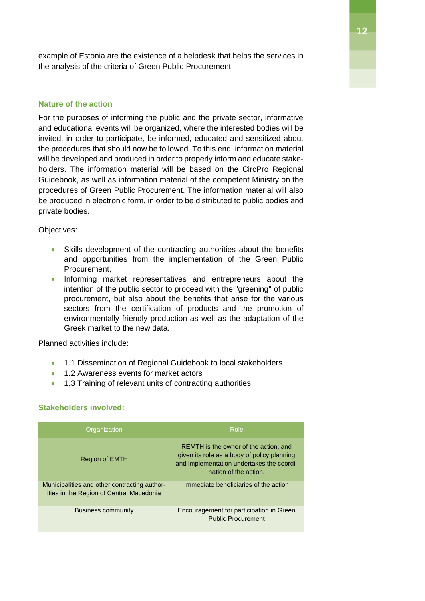example of Estonia are the existence of a helpdesk that helps the services in the analysis of the criteria of Green Public Procurement.

#### <span id="page-11-0"></span>**Nature of the action**

For the purposes of informing the public and the private sector, informative and educational events will be organized, where the interested bodies will be invited, in order to participate, be informed, educated and sensitized about the procedures that should now be followed. To this end, information material will be developed and produced in order to properly inform and educate stakeholders. The information material will be based on the CircPro Regional Guidebook, as well as information material of the competent Ministry on the procedures of Green Public Procurement. The information material will also be produced in electronic form, in order to be distributed to public bodies and private bodies.

Objectives:

- Skills development of the contracting authorities about the benefits and opportunities from the implementation of the Green Public Procurement,
- Informing market representatives and entrepreneurs about the intention of the public sector to proceed with the "greening" of public procurement, but also about the benefits that arise for the various sectors from the certification of products and the promotion of environmentally friendly production as well as the adaptation of the Greek market to the new data.

Planned activities include:

- 1.1 Dissemination of Regional Guidebook to local stakeholders
- 1.2 Awareness events for market actors
- 1.3 Training of relevant units of contracting authorities

#### <span id="page-11-1"></span>**Stakeholders involved:**

| Organization                                                                             | Role                                                                                                                                                       |
|------------------------------------------------------------------------------------------|------------------------------------------------------------------------------------------------------------------------------------------------------------|
| <b>Region of EMTH</b>                                                                    | REMTH is the owner of the action, and<br>given its role as a body of policy planning<br>and implementation undertakes the coordi-<br>nation of the action. |
| Municipalities and other contracting author-<br>ities in the Region of Central Macedonia | Immediate beneficiaries of the action                                                                                                                      |
| <b>Business community</b>                                                                | Encouragement for participation in Green<br><b>Public Procurement</b>                                                                                      |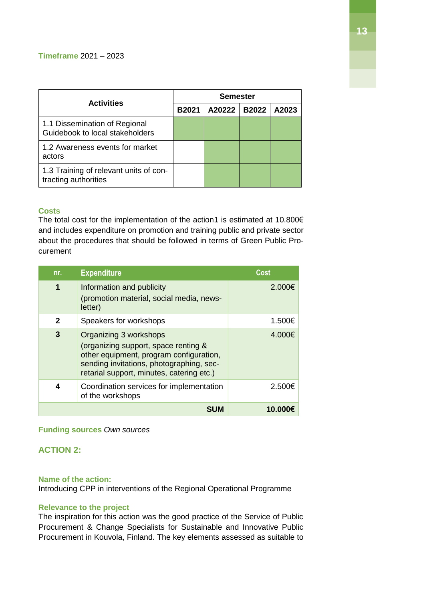<span id="page-12-0"></span>

| <b>Activities</b>                                                | <b>Semester</b> |        |              |       |
|------------------------------------------------------------------|-----------------|--------|--------------|-------|
|                                                                  | <b>B2021</b>    | A20222 | <b>B2022</b> | A2023 |
| 1.1 Dissemination of Regional<br>Guidebook to local stakeholders |                 |        |              |       |
| 1.2 Awareness events for market<br>actors                        |                 |        |              |       |
| 1.3 Training of relevant units of con-<br>tracting authorities   |                 |        |              |       |

#### **Costs**

The total cost for the implementation of the action1 is estimated at 10.800€ and includes expenditure on promotion and training public and private sector about the procedures that should be followed in terms of Green Public Procurement

| nr.          | <b>Expenditure</b>                                                                                                                                                                                 | Cost   |
|--------------|----------------------------------------------------------------------------------------------------------------------------------------------------------------------------------------------------|--------|
| 1            | Information and publicity<br>(promotion material, social media, news-<br>letter)                                                                                                                   | 2.000€ |
| $\mathbf{2}$ | Speakers for workshops                                                                                                                                                                             | 1.500€ |
| 3            | Organizing 3 workshops<br>(organizing support, space renting &<br>other equipment, program configuration,<br>sending invitations, photographing, sec-<br>retarial support, minutes, catering etc.) | 4.000€ |
| 4            | Coordination services for implementation<br>of the workshops                                                                                                                                       | 2.500€ |
|              |                                                                                                                                                                                                    | 10.0   |

#### <span id="page-12-1"></span>**Funding sources** *Own sources*

#### <span id="page-12-2"></span>**ACTION 2:**

#### <span id="page-12-3"></span>**Name of the action:**

Introducing CPP in interventions of the Regional Operational Programme

#### <span id="page-12-4"></span>**Relevance to the project**

The inspiration for this action was the good practice of the Service of Public Procurement & Change Specialists for Sustainable and Innovative Public Procurement in Kouvola, Finland. The key elements assessed as suitable to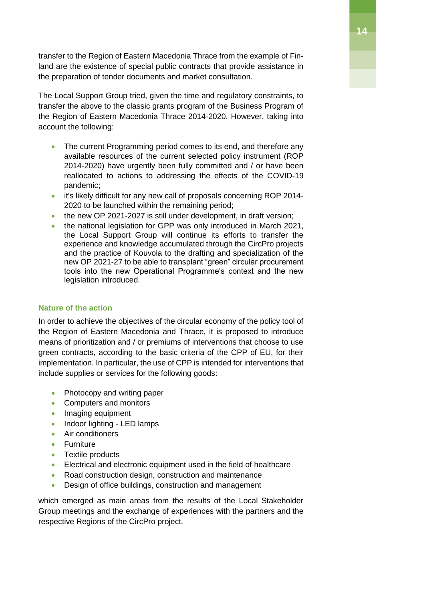transfer to the Region of Eastern Macedonia Thrace from the example of Finland are the existence of special public contracts that provide assistance in the preparation of tender documents and market consultation.

The Local Support Group tried, given the time and regulatory constraints, to transfer the above to the classic grants program of the Business Program of the Region of Eastern Macedonia Thrace 2014-2020. However, taking into account the following:

- The current Programming period comes to its end, and therefore any available resources of the current selected policy instrument (ROP 2014-2020) have urgently been fully committed and / or have been reallocated to actions to addressing the effects of the COVID-19 pandemic;
- it's likely difficult for any new call of proposals concerning ROP 2014-2020 to be launched within the remaining period;
- the new OP 2021-2027 is still under development, in draft version;
- the national legislation for GPP was only introduced in March 2021, the Local Support Group will continue its efforts to transfer the experience and knowledge accumulated through the CircPro projects and the practice of Kouvola to the drafting and specialization of the new OP 2021-27 to be able to transplant "green" circular procurement tools into the new Operational Programme's context and the new legislation introduced.

#### <span id="page-13-0"></span>**Nature of the action**

In order to achieve the objectives of the circular economy of the policy tool of the Region of Eastern Macedonia and Thrace, it is proposed to introduce means of prioritization and / or premiums of interventions that choose to use green contracts, according to the basic criteria of the CPP of EU, for their implementation. In particular, the use of CPP is intended for interventions that include supplies or services for the following goods:

- Photocopy and writing paper
- Computers and monitors
- Imaging equipment
- Indoor lighting LED lamps
- Air conditioners
- **•** Furniture
- Textile products
- Electrical and electronic equipment used in the field of healthcare
- Road construction design, construction and maintenance
- Design of office buildings, construction and management

which emerged as main areas from the results of the Local Stakeholder Group meetings and the exchange of experiences with the partners and the respective Regions of the CircPro project.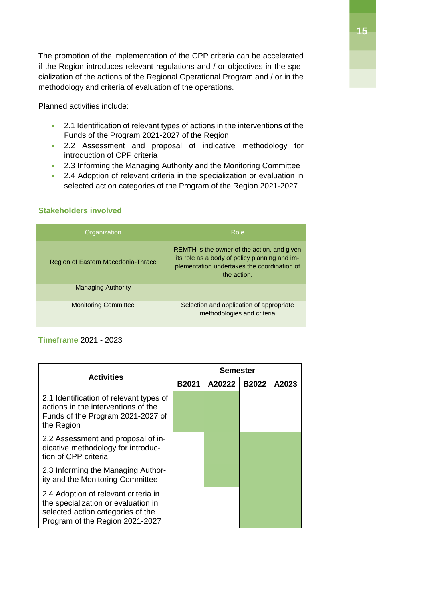The promotion of the implementation of the CPP criteria can be accelerated if the Region introduces relevant regulations and / or objectives in the specialization of the actions of the Regional Operational Program and / or in the methodology and criteria of evaluation of the operations.

Planned activities include:

- 2.1 Identification of relevant types of actions in the interventions of the Funds of the Program 2021-2027 of the Region
- 2.2 Assessment and proposal of indicative methodology for introduction of CPP criteria
- 2.3 Informing the Managing Authority and the Monitoring Committee
- 2.4 Adoption of relevant criteria in the specialization or evaluation in selected action categories of the Program of the Region 2021-2027

#### <span id="page-14-0"></span>**Stakeholders involved**

| Organization                       | Role                                                                                                                                                       |
|------------------------------------|------------------------------------------------------------------------------------------------------------------------------------------------------------|
| Region of Eastern Macedonia-Thrace | REMTH is the owner of the action, and given<br>its role as a body of policy planning and im-<br>plementation undertakes the coordination of<br>the action. |
| <b>Managing Authority</b>          |                                                                                                                                                            |
| <b>Monitoring Committee</b>        | Selection and application of appropriate<br>methodologies and criteria                                                                                     |

#### <span id="page-14-1"></span>**Timeframe** 2021 - 2023

|                                                                                                                                                     | Semester     |        |              |       |
|-----------------------------------------------------------------------------------------------------------------------------------------------------|--------------|--------|--------------|-------|
| <b>Activities</b>                                                                                                                                   | <b>B2021</b> | A20222 | <b>B2022</b> | A2023 |
| 2.1 Identification of relevant types of<br>actions in the interventions of the<br>Funds of the Program 2021-2027 of<br>the Region                   |              |        |              |       |
| 2.2 Assessment and proposal of in-<br>dicative methodology for introduc-<br>tion of CPP criteria                                                    |              |        |              |       |
| 2.3 Informing the Managing Author-<br>ity and the Monitoring Committee                                                                              |              |        |              |       |
| 2.4 Adoption of relevant criteria in<br>the specialization or evaluation in<br>selected action categories of the<br>Program of the Region 2021-2027 |              |        |              |       |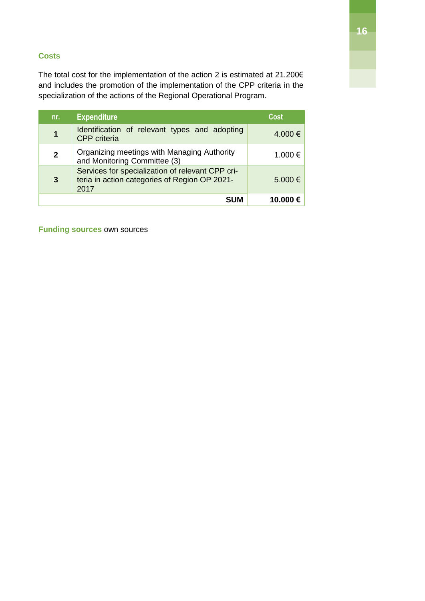#### <span id="page-15-0"></span>**Costs**

The total cost for the implementation of the action 2 is estimated at 21.200€ and includes the promotion of the implementation of the CPP criteria in the specialization of the actions of the Regional Operational Program.

| nr.            | <b>Expenditure</b>                                                                                        | Cost        |
|----------------|-----------------------------------------------------------------------------------------------------------|-------------|
|                | Identification of relevant types and adopting<br><b>CPP</b> criteria                                      | 4.000 €     |
| $\overline{2}$ | Organizing meetings with Managing Authority<br>and Monitoring Committee (3)                               | 1.000 €     |
| 3              | Services for specialization of relevant CPP cri-<br>teria in action categories of Region OP 2021-<br>2017 | $5.000 \in$ |
|                | <b>SUM</b>                                                                                                | 10.000€     |

<span id="page-15-1"></span>**Funding sources** own sources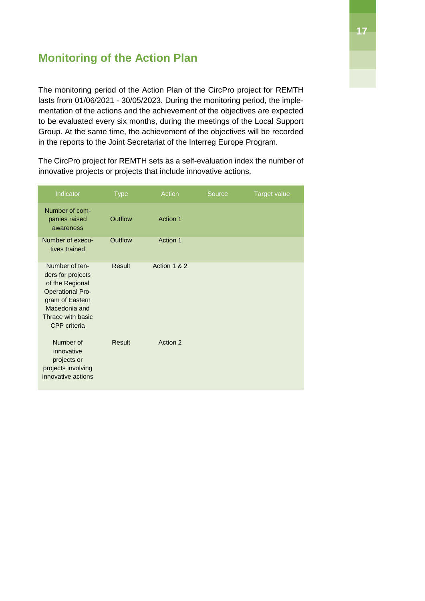## <span id="page-16-0"></span>**Monitoring of the Action Plan**

The monitoring period of the Action Plan of the CircPro project for REMTH lasts from 01/06/2021 - 30/05/2023. During the monitoring period, the implementation of the actions and the achievement of the objectives are expected to be evaluated every six months, during the meetings of the Local Support Group. At the same time, the achievement of the objectives will be recorded in the reports to the Joint Secretariat of the Interreg Europe Program.

The CircPro project for REMTH sets as a self-evaluation index the number of innovative projects or projects that include innovative actions.

| Indicator                                                                                                                                                         | <b>Type</b> | Action          | Source | <b>Target value</b> |
|-------------------------------------------------------------------------------------------------------------------------------------------------------------------|-------------|-----------------|--------|---------------------|
| Number of com-<br>panies raised<br>awareness                                                                                                                      | Outflow     | <b>Action 1</b> |        |                     |
| Number of execu-<br>tives trained                                                                                                                                 | Outflow     | Action 1        |        |                     |
| Number of ten-<br>ders for projects<br>of the Regional<br><b>Operational Pro-</b><br>gram of Eastern<br>Macedonia and<br>Thrace with basic<br><b>CPP</b> criteria | Result      | Action 1 & 2    |        |                     |
| Number of<br>innovative<br>projects or<br>projects involving<br>innovative actions                                                                                | Result      | Action 2        |        |                     |